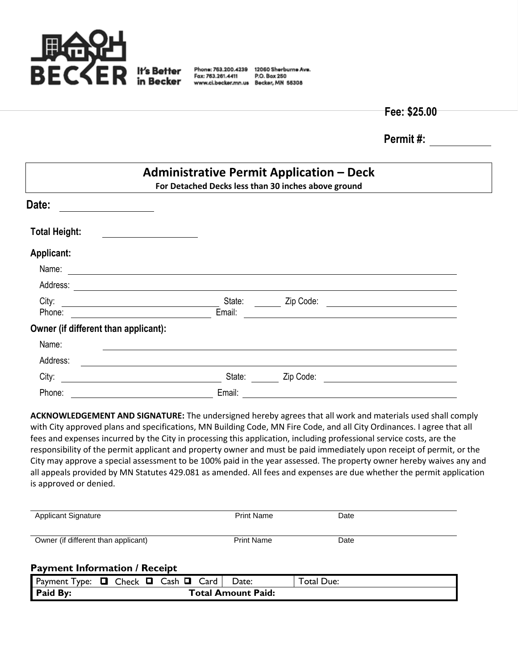

Fax: 763.261.4411

Phone: 763.200.4239 12060 Sherburne Ave. P.O. Box 250 www.ci.becker.mn.us Becker, MN 55308

**Fee: \$25.00**

**Permit #:**

| <b>Administrative Permit Application - Deck</b><br>For Detached Decks less than 30 inches above ground                          |        |           |                                                                                           |  |  |  |
|---------------------------------------------------------------------------------------------------------------------------------|--------|-----------|-------------------------------------------------------------------------------------------|--|--|--|
| Date:                                                                                                                           |        |           |                                                                                           |  |  |  |
| <b>Total Height:</b>                                                                                                            |        |           |                                                                                           |  |  |  |
| Applicant:                                                                                                                      |        |           |                                                                                           |  |  |  |
| Name:                                                                                                                           |        |           |                                                                                           |  |  |  |
| Address:                                                                                                                        |        |           |                                                                                           |  |  |  |
| City:                                                                                                                           | State: | Zip Code: | the control of the control of the control of the control of the control of the control of |  |  |  |
| Phone:                                                                                                                          | Email: |           |                                                                                           |  |  |  |
| Owner (if different than applicant):                                                                                            |        |           |                                                                                           |  |  |  |
| Name:                                                                                                                           |        |           |                                                                                           |  |  |  |
| Address:                                                                                                                        |        |           |                                                                                           |  |  |  |
| City:                                                                                                                           | State: | Zip Code: |                                                                                           |  |  |  |
| Phone:<br><u> 1990 - Johann John Stein, markin santa shekara 1990 - Shekara 1991 - Shekara 1991 - Shekara 1991 - Shekara 19</u> | Email: |           |                                                                                           |  |  |  |

**ACKNOWLEDGEMENT AND SIGNATURE:** The undersigned hereby agrees that all work and materials used shall comply with City approved plans and specifications, MN Building Code, MN Fire Code, and all City Ordinances. I agree that all fees and expenses incurred by the City in processing this application, including professional service costs, are the responsibility of the permit applicant and property owner and must be paid immediately upon receipt of permit, or the City may approve a special assessment to be 100% paid in the year assessed. The property owner hereby waives any and all appeals provided by MN Statutes 429.081 as amended. All fees and expenses are due whether the permit application is approved or denied.

| <b>Applicant Signature</b>          | <b>Print Name</b> | Date |
|-------------------------------------|-------------------|------|
| Owner (if different than applicant) | <b>Print Name</b> | Date |

## **Payment Information / Receipt**

| Payment<br>l ype:              | 0 | <u>ы</u><br>こheck | Cash<br>┕ | ∟ard | Date: | Total Due: |
|--------------------------------|---|-------------------|-----------|------|-------|------------|
| Paid By:<br>Total Amount Paid: |   |                   |           |      |       |            |